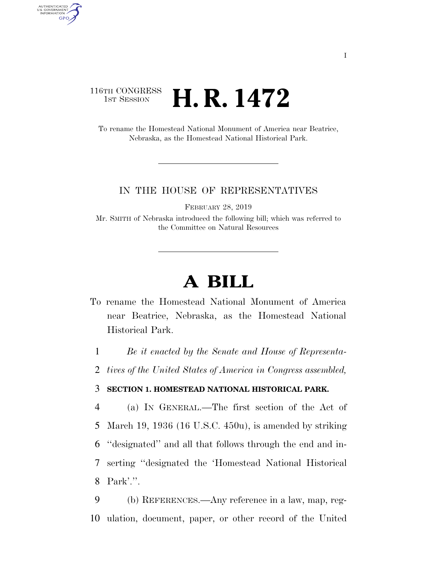## 116TH CONGRESS  $\frac{1}{15T}$  Session **H. R. 1472**

AUTHENTICATED<br>U.S. GOVERNMENT<br>INFORMATION GPO

> To rename the Homestead National Monument of America near Beatrice, Nebraska, as the Homestead National Historical Park.

## IN THE HOUSE OF REPRESENTATIVES

FEBRUARY 28, 2019

Mr. SMITH of Nebraska introduced the following bill; which was referred to the Committee on Natural Resources

## **A BILL**

To rename the Homestead National Monument of America near Beatrice, Nebraska, as the Homestead National Historical Park.

1 *Be it enacted by the Senate and House of Representa-*

2 *tives of the United States of America in Congress assembled,* 

## 3 **SECTION 1. HOMESTEAD NATIONAL HISTORICAL PARK.**

 (a) IN GENERAL.—The first section of the Act of March 19, 1936 (16 U.S.C. 450u), is amended by striking ''designated'' and all that follows through the end and in- serting ''designated the 'Homestead National Historical Park'.''.

9 (b) REFERENCES.—Any reference in a law, map, reg-10 ulation, document, paper, or other record of the United